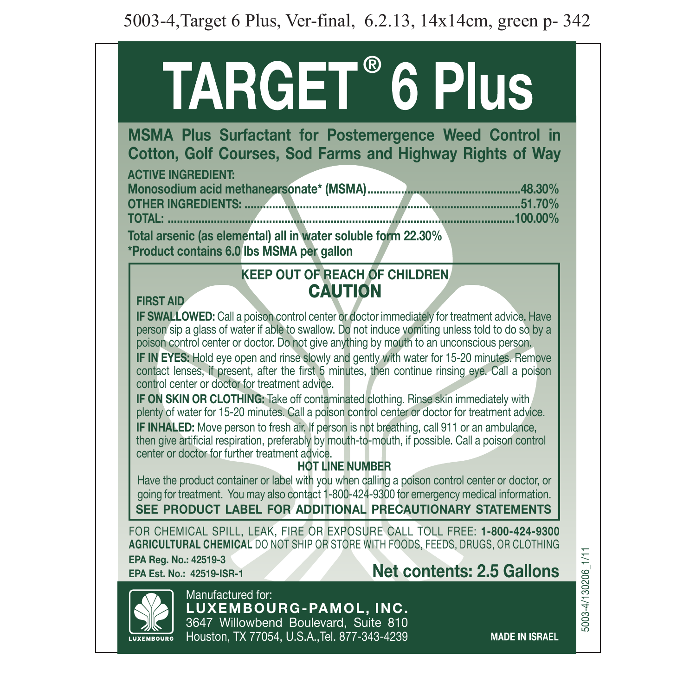# **TARGET® 6 Plus**

**MSMA Plus Surfactant for Postemergence Weed Control in Cotton, Golf Courses, Sod Farms and Highway Rights of Way** 

| <b>ACTIVE INGREDIENT:</b>                                       |  |
|-----------------------------------------------------------------|--|
|                                                                 |  |
|                                                                 |  |
|                                                                 |  |
| Total execute (as alomental) all in mater a sluble fews 00,000/ |  |

**22.30% form in allaming tenson in all in all in water soluble form 22.30% \*Product contains 6.0 lbs MSMA per gallon** 

# **KEEP OUT OF REACH OF CHILDREN. CAUTION**

#### **FIRST AID**

**IF SWALLOWED:** Call a poison control center or doctor immediately for treatment advice. Have person sip a glass of water if able to swallow. Do not induce vomiting unless told to do so by a poison control center or doctor. Do not give anything by mouth to an unconscious person.

**IF IN EYES:** Hold eve open and rinse slowly and gently with water for 15-20 minutes. Remove contact lenses, if present, after the first 5 minutes, then continue rinsing eve. Call a poison control center or doctor for treatment advice

**IF ON SKIN OR CLOTHING:** Take off contaminated clothing. Rinse skin immediately with plenty of water for 15-20 minutes. Call a poison control center or doctor for treatment advice. **IF INHALED:** Move person to fresh air. If person is not breathing, call 911 or an ambulance. then give artificial respiration, preferably by mouth-to-mouth, if possible. Call a poison control center or doctor for further treatment advice.

# **HOT LINE NUMBER**

Have the product container or label with you when calling a poison control center or doctor, or ooing for treatment. You may also contact 1-800-424-9300 for emergency medical information.

**SEE PRODUCT LABEL FOR ADDITIONAL PRECAUTIONARY STATEMENTS** 

FOR CHEMICAL SPILL, LEAK, FIRE OR EXPOSURE CALL TOLL FREE: 1-800-424-9300 **AGRICULTURAL CHEMICAL** DO NOT SHIP OR STORE WITH FOODS, FEEDS, DRUGS, OR CLOTHING

**EPA Reg. No.: 42519-3** 

# **EPA** Est. No.: 42519-ISR-1 **Net contents: 2.5 Gallons**



Manufactured for: LUXEMBOURG-PAMOL. INC. 3647 Willowbend Boulevard, Suite 810 Houston, TX 77054, U.S.A., Tel. 877-343-4239 5003-4/130206\_1/11 1/11\_5003-4/130206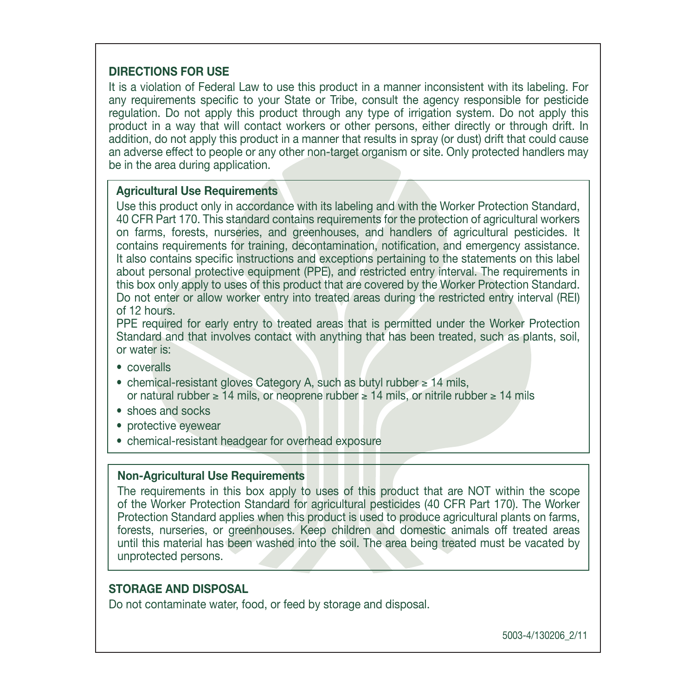#### **DIRECTIONS FOR USE**

It is a violation of Federal Law to use this product in a manner inconsistent with its labeling. For any requirements specific to your State or Tribe, consult the agency responsible for pesticide regulation. Do not apply this product through any type of irrigation system. Do not apply this product in a way that will contact workers or other persons, either directly or through drift. In addition, do not apply this product in a manner that results in spray (or dust) drift that could cause an adverse effect to people or any other non-target organism or site. Only protected handlers may be in the area during application.

#### **Agricultural Use Requirements**

Use this product only in accordance with its labeling and with the Worker Protection Standard. 40 CFR Part 170. This standard contains requirements for the protection of agricultural workers on farms, forests, nurseries, and greenhouses, and handlers of agricultural pesticides. It contains requirements for training, decontamination, notification, and emergency assistance. It also contains specific instructions and exceptions pertaining to the statements on this label about personal protective equipment (PPE), and restricted entry interval. The requirements in this box only apply to uses of this product that are covered by the Worker Protection Standard. Do not enter or allow worker entry into treated areas during the restricted entry interval (REI) of 12 hours.

PPE required for early entry to treated areas that is permitted under the Worker Protection Standard and that involves contact with anything that has been treated, such as plants, soil, or water is:

- coveralls
- chemical-resistant gloves Category A, such as butyl rubber ≥ 14 mils. or natural rubber  $\geq 14$  mils. or neoprene rubber  $\geq 14$  mils, or nitrile rubber  $\geq 14$  mils
- shoes and socks
- protective eyewear
- chemical-resistant headgear for overhead exposure

#### **Non-Agricultural Use Requirements**

The requirements in this box apply to uses of this product that are NOT within the scope of the Worker Protection Standard for agricultural pesticides (40 CFR Part 170). The Worker Protection Standard applies when this product is used to produce agricultural plants on farms. forests, nurseries, or greenhouses. Keep children and domestic animals off treated areas until this material has been washed into the soil. The area being treated must be vacated by unprotected persons.

#### **STORAGE AND DISPOSAL**

Do not contaminate water, food, or feed by storage and disposal.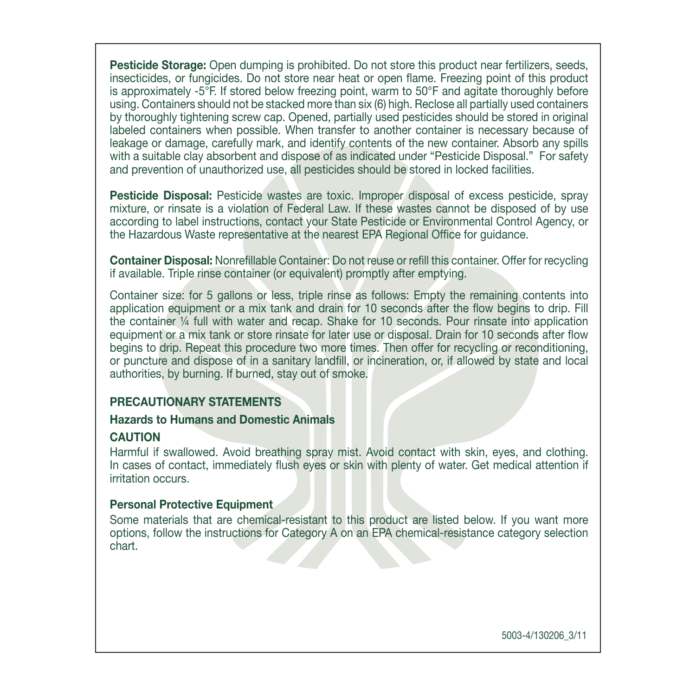**Pesticide Storage:** Open dumping is prohibited. Do not store this product near fertilizers, seeds. insecticides. or fungicides. Do not store near heat or open flame. Freezing point of this product is approximately  $-5^{\circ}$ F. If stored below freezing point, warm to  $50^{\circ}$ F and agitate thoroughly before using. Containers should not be stacked more than six (6) high. Reclose all partially used containers by thoroughly tightening screw cap. Opened, partially used pesticides should be stored in original labeled containers when possible. When transfer to another container is necessary because of leakage or damage, carefully mark, and identify contents of the new container. Absorb any spills with a suitable clay absorbent and dispose of as indicated under "Pesticide Disposal." For safety and prevention of unauthorized use, all pesticides should be stored in locked facilities.

**Pesticide Disposal:** Pesticide wastes are toxic. Improper disposal of excess pesticide, spray mixture, or rinsate is a violation of Federal Law. If these wastes cannot be disposed of by use according to label instructions, contact your State Pesticide or Environmental Control Agency, or the Hazardous Waste representative at the nearest EPA Regional Office for quidance.

**Container Disposal:** Nonrefillable Container: Do not reuse or refill this container. Offer for recycling if available. Triple rinse container (or equivalent) promptly after emptying.

Container size: for 5 gallons or less, triple rinse as follows: Empty the remaining contents into application equipment or a mix tank and drain for 10 seconds after the flow begins to drip. Fill the container  $\frac{1}{4}$  full with water and recap. Shake for 10 seconds. Pour rinsate into application equipment or a mix tank or store rinsate for later use or disposal. Drain for 10 seconds after flow begins to drip. Repeat this procedure two more times. Then offer for recycling or reconditioning. or puncture and dispose of in a sanitary landfill, or incineration, or, if allowed by state and local authorities, by burning. If burned, stay out of smoke.

#### **PRECAUTIONARY STATEMENTS**

#### **Hazards to Humans and Domestic Animals**

#### **CAUTION**

Harmful if swallowed. Avoid breathing spray mist, Avoid contact with skin, eves, and clothing. In cases of contact, immediately flush eyes or skin with plenty of water. Get medical attention if irritation occurs

#### **Personal Protective Equipment.**

Some materials that are chemical-resistant to this product are listed below. If you want more options, follow the instructions for Category A on an EPA chemical-resistance category selection .chart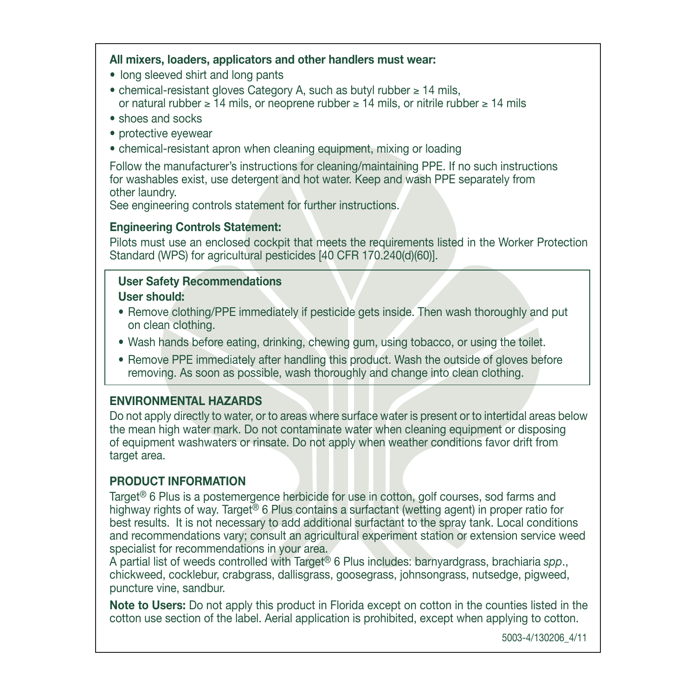# All mixers, loaders, applicators and other handlers must wear:

- long sleeved shirt and long pants
- chemical-resistant gloves Category A, such as butyl rubber ≥ 14 mils. or natural rubber  $\geq 14$  mils, or neoprene rubber  $\geq 14$  mils, or nitrile rubber  $\geq 14$  mils
- shoes and socks
- protective evewear
- chemical-resistant apron when cleaning equipment, mixing or loading

Follow the manufacturer's instructions for cleaning/maintaining PPE. If no such instructions for washables exist, use detergent and hot water. Keep and wash PPE separately from other laundry.

See engineering controls statement for further instructions.

# **Engineering Controls Statement:**

Pilots must use an enclosed cockpit that meets the requirements listed in the Worker Protection Standard (WPS) for agricultural pesticides [40 CFR 170.240(d)(60)].

# *<u>User Safety Recommendations</u>* **Liser should:**

- Remove clothing/PPE immediately if pesticide gets inside. Then wash thoroughly and put on clean clothing.
- Wash hands before eating, drinking, chewing gum, using tobacco, or using the toilet.
- Remove PPE immediately after handling this product. Wash the outside of gloves before removing. As soon as possible, wash thoroughly and change into clean clothing.

# **ENVIRONMENTAL HAZARDS**

Do not apply directly to water, or to areas where surface water is present or to intertidal areas below the mean high water mark. Do not contaminate water when cleaning equipment or disposing of equipment washwaters or rinsate. Do not apply when weather conditions favor drift from target area.

# **PRODUCT INFORMATION**

Target<sup>®</sup> 6 Plus is a postemergence herbicide for use in cotton, golf courses, sod farms and highway rights of way. Target<sup>®</sup> 6 Plus contains a surfactant (wetting agent) in proper ratio for best results. It is not necessary to add additional surfactant to the spray tank. Local conditions and recommendations vary; consult an agricultural experiment station or extension service weed specialist for recommendations in your area.

A partial list of weeds controlled with Target<sup>®</sup> 6 Plus includes: barnyardgrass, brachiaria spp., chickweed, cocklebur, crabgrass, dallisgrass, goosegrass, johnsongrass, nutsedge, pigweed, puncture vine, sandbur.

Note to Users: Do not apply this product in Florida except on cotton in the counties listed in the cotton use section of the label. Aerial application is prohibited, except when applying to cotton.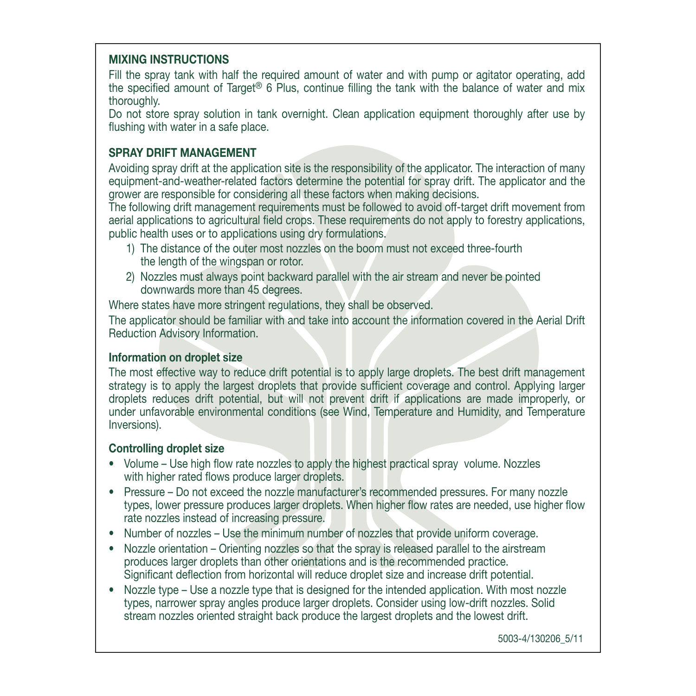# **MIXING INSTRUCTIONS**

Fill the spray tank with half the required amount of water and with pump or agitator operating, add the specified amount of Target® 6 Plus, continue filling the tank with the balance of water and mix thoroughly.

Do not store spray solution in tank overnight. Clean application equipment thoroughly after use by flushing with water in a safe place.

## **SPRAY DRIFT MANAGEMENT**

Avoiding spray drift at the application site is the responsibility of the applicator. The interaction of many equipment-and-weather-related factors determine the potential for spray drift. The applicator and the grower are responsible for considering all these factors when making decisions.

The following drift management requirements must be followed to avoid off-target drift movement from aerial applications to agricultural field crops. These requirements do not apply to forestry applications. public health uses or to applications using dry formulations.

- 1) The distance of the outer most nozzles on the boom must not exceed three-fourth the length of the wingspan or rotor.
- 2) Nozzles must always point backward parallel with the air stream and never be pointed downwards more than 45 degrees.

Where states have more stringent regulations, they shall be observed.

The applicator should be familiar with and take into account the information covered in the Aerial Drift Reduction Advisory Information.

# **Information on droplet size**

The most effective way to reduce drift potential is to apply large droplets. The best drift management strategy is to apply the largest droplets that provide sufficient coverage and control. Applying larger droplets reduces drift potential, but will not prevent drift if applications are made improperly, or under unfavorable environmental conditions (see Wind, Temperature and Humidity, and Temperature Inversions).

# **Controlling droplet size**

- Volume Use high flow rate nozzles to apply the highest practical spray volume. Nozzles with higher rated flows produce larger droplets.
- Pressure Do not exceed the nozzle manufacturer's recommended pressures. For many nozzle types, lower pressure produces larger droplets. When higher flow rates are needed, use higher flow rate nozzles instead of increasing pressure.
- Number of nozzles Use the minimum number of nozzles that provide uniform coverage.
- Nozzle orientation Orienting nozzles so that the spray is released parallel to the airstream produces larger droplets than other orientations and is the recommended practice. Significant deflection from horizontal will reduce droplet size and increase drift potential.
- Nozzle type Use a nozzle type that is designed for the intended application. With most nozzle types, narrower spray angles produce larger droplets. Consider using low-drift nozzles. Solid stream nozzles oriented straight back produce the largest droplets and the lowest drift.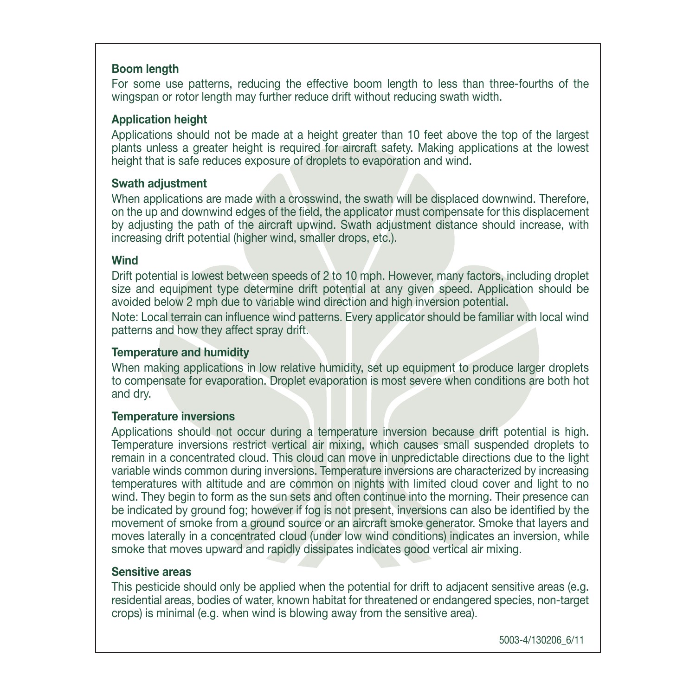#### **Boom** length

For some use patterns, reducing the effective boom length to less than three-fourths of the wingspan or rotor length may further reduce drift without reducing swath width.

#### **Application** height

Applications should not be made at a height greater than 10 feet above the top of the largest plants unless a greater height is required for aircraft safety. Making applications at the lowest height that is safe reduces exposure of droplets to evaporation and wind.

#### **Swath adjustment**

When applications are made with a crosswind, the swath will be displaced downwind. Therefore, on the up and downwind edges of the field, the applicator must compensate for this displacement by adjusting the path of the aircraft upwind. Swath adjustment distance should increase, with increasing drift potential (higher wind, smaller drops, etc.).

#### **Wind**

Drift potential is lowest between speeds of 2 to 10 mph. However, many factors, including droplet size and equipment type determine drift potential at any given speed. Application should be avoided below 2 mph due to variable wind direction and high inversion potential.

Note: Local terrain can influence wind patterns. Every applicator should be familiar with local wind patterns and how they affect spray drift.

# **Temperature and humidity**

When making applications in low relative humidity, set up equipment to produce larger droplets to compensate for evaporation. Droplet evaporation is most severe when conditions are both hot and drv.

# **Temperature** inversions

Applications should not occur during a temperature inversion because drift potential is high. Temperature inversions restrict vertical air mixing, which causes small suspended droplets to remain in a concentrated cloud. This cloud can move in unpredictable directions due to the light variable winds common during inversions. Temperature inversions are characterized by increasing temperatures with altitude and are common on nights with limited cloud cover and light to no wind. They begin to form as the sun sets and often continue into the morning. Their presence can be indicated by ground fog; however if fog is not present, inversions can also be identified by the movement of smoke from a ground source or an aircraft smoke generator. Smoke that layers and moves laterally in a concentrated cloud (under low wind conditions) indicates an inversion, while smoke that moves upward and rapidly dissipates indicates good vertical air mixing.

#### **Sensitive** areas

This pesticide should only be applied when the potential for drift to adiacent sensitive areas (e.g. residential areas, bodies of water, known habitat for threatened or endangered species, non-target crops) is minimal (e.g. when wind is blowing away from the sensitive area).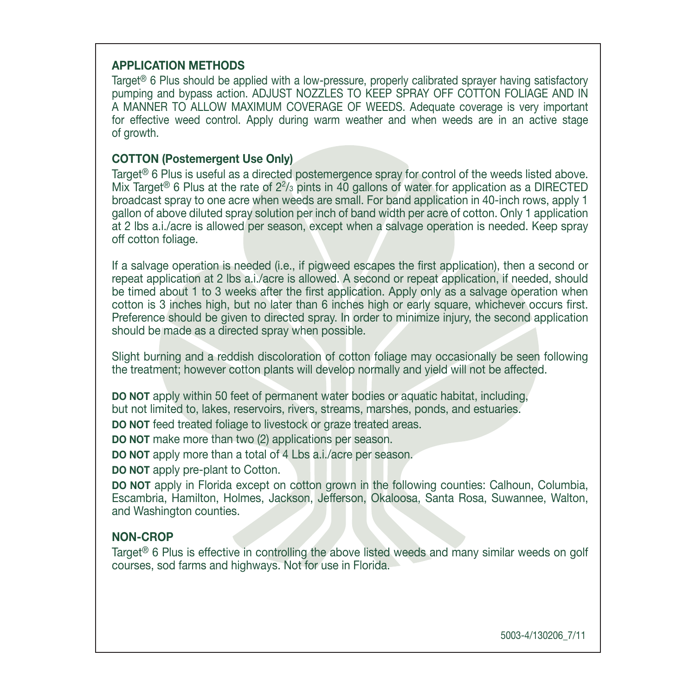#### **APPLICATION METHODS**

Target<sup>®</sup> 6 Plus should be applied with a low-pressure, properly calibrated sprayer having satisfactory pumping and bypass action. ADJUST NOZZLES TO KEEP SPRAY OFF COTTON FOLIAGE AND IN A MANNER TO ALLOW MAXIMUM COVERAGE OF WEEDS. Adequate coverage is very important for effective weed control. Apply during warm weather and when weeds are in an active stage of arowth.

#### **COTTON (Postemergent Use Only)**

Target<sup>®</sup> 6 Plus is useful as a directed postemergence spray for control of the weeds listed above. Mix Target<sup>®</sup> 6 Plus at the rate of  $2\frac{2}{3}$  pints in 40 gallons of water for application as a DIRECTED broadcast spray to one acre when weeds are small. For band application in 40-inch rows, apply 1 aallon of above diluted spray solution per inch of band width per acre of cotton. Only 1 application at 2 lbs a *i*./acre is allowed per season, except when a salvage operation is needed. Keep spray off cotton foliage.

If a salvage operation is needed (i.e., if pigweed escapes the first application), then a second or repeat application at 2 lbs a i./acre is allowed. A second or repeat application, if needed, should be timed about 1 to 3 weeks after the first application. Apply only as a salvage operation when cotton is 3 inches high, but no later than 6 inches high or early square, whichever occurs first, Preference should be given to directed spray. In order to minimize injury, the second application should be made as a directed spray when possible.

Slight burning and a reddish discoloration of cotton foliage may occasionally be seen following the treatment: however cotton plants will develop normally and vield will not be affected.

DO NOT apply within 50 feet of permanent water bodies or aquatic habitat, including, but not limited to, lakes, reservoirs, rivers, streams, marshes, ponds, and estuaries.

**DO NOT** feed treated foliage to livestock or graze treated areas.

**DO NOT** make more than two (2) applications per season.

**DO NOT** apply more than a total of 4 Lbs a.i./acre per season.

**DO NOT** apply pre-plant to Cotton.

**DO NOT** apply in Florida except on cotton grown in the following counties: Calhoun, Columbia. Escambria, Hamilton, Holmes, Jackson, Jefferson, Okaloosa, Santa Rosa, Suwannee, Walton, and Washington counties.

#### **NON-CROP**

Target<sup>®</sup> 6 Plus is effective in controlling the above listed weeds and many similar weeds on golf courses, sod farms and highways. Not for use in Florida.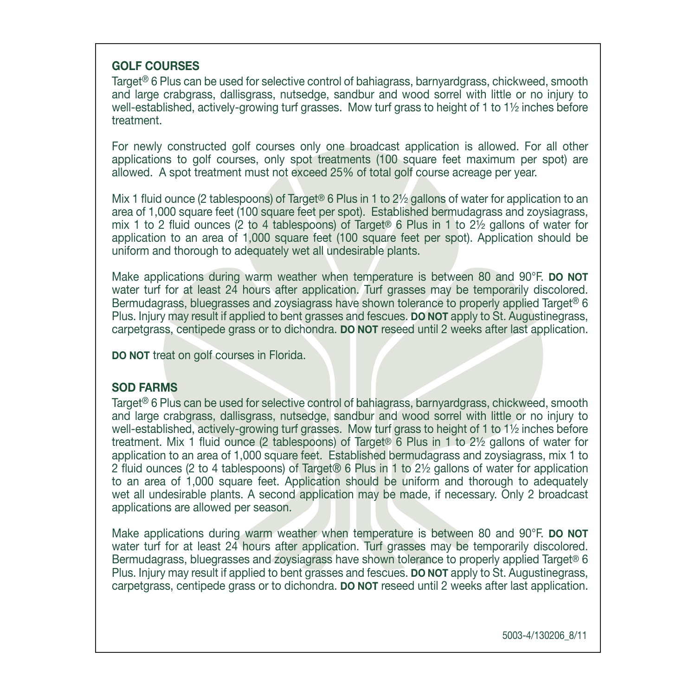# **GOLF** COURSES

Target<sup>®</sup> 6 Plus can be used for selective control of bahiagrass, barnyardgrass, chickweed, smooth and large crabgrass, dallisgrass, nutsedge, sandbur and wood sorrel with little or no injury to well-established, actively-growing turf grasses. Mow turf grass to height of 1 to 11/2 inches before .treatment

For newly constructed golf courses only one broadcast application is allowed. For all other applications to golf courses, only spot treatments (100 square feet maximum per spot) are allowed. A spot treatment must not exceed 25% of total golf course acreage per year.

Mix 1 fluid ounce (2 tablespoons) of Target<sup>®</sup> 6 Plus in 1 to 2½ gallons of water for application to an area of 1,000 square feet (100 square feet per spot). Established bermudagrass and zovsiagrass. mix 1 to 2 fluid ounces (2 to 4 tablespoons) of Target® 6 Plus in 1 to 2 $\frac{1}{2}$  gallons of water for application to an area of 1,000 square feet  $(100$  square feet per spot). Application should be uniform and thorough to adequately wet all undesirable plants.

Make applications during warm weather when temperature is between 80 and 90°F. **DO NOT** water turf for at least 24 hours after application. Turf grasses may be temporarily discolored. Bermudagrass, bluegrasses and zovsiagrass have shown tolerance to properly applied Target® 6 Plus, Injury may result if applied to bent grasses and fescues. **DO NOT** apply to St. Augustinegrass. carpetgrass, centipede grass or to dichondra. **DO NOT** reseed until 2 weeks after last application.

**DO NOT** treat on golf courses in Florida.

#### **SOD FARMS**

Target<sup>®</sup> 6 Plus can be used for selective control of bahiagrass. barnyardgrass, chickweed, smooth and large crabgrass, dallisgrass, nutsedge, sandbur and wood sorrel with little or no injury to well-established, actively-growing turf grasses. Mow turf grass to height of 1 to  $1\frac{1}{2}$  inches before treatment. Mix 1 fluid ounce (2 tablespoons) of Target® 6 Plus in 1 to  $2\frac{1}{2}$  gallons of water for application to an area of 1,000 square feet. Established bermudagrass and zoysiagrass, mix 1 to 2 fluid ounces (2 to 4 tablespoons) of Target  $\circ$  6 Plus in 1 to 2  $\frac{1}{2}$  gallons of water for application to an area of 1,000 square feet. Application should be uniform and thorough to adequately wet all undesirable plants. A second application may be made, if necessary. Only 2 broadcast applications are allowed per season.

Make applications during warm weather when temperature is between 80 and 90°F. **DO NOT** water turf for at least 24 hours after application. Turf grasses may be temporarily discolored. Bermudagrass, bluegrasses and zoysiagrass have shown tolerance to properly applied Target® 6 Plus, Injury may result if applied to bent grasses and fescues. **DO NOT** apply to St. Augustinegrass. carpetgrass, centipede grass or to dichondra. **DO NOT** reseed until 2 weeks after last application.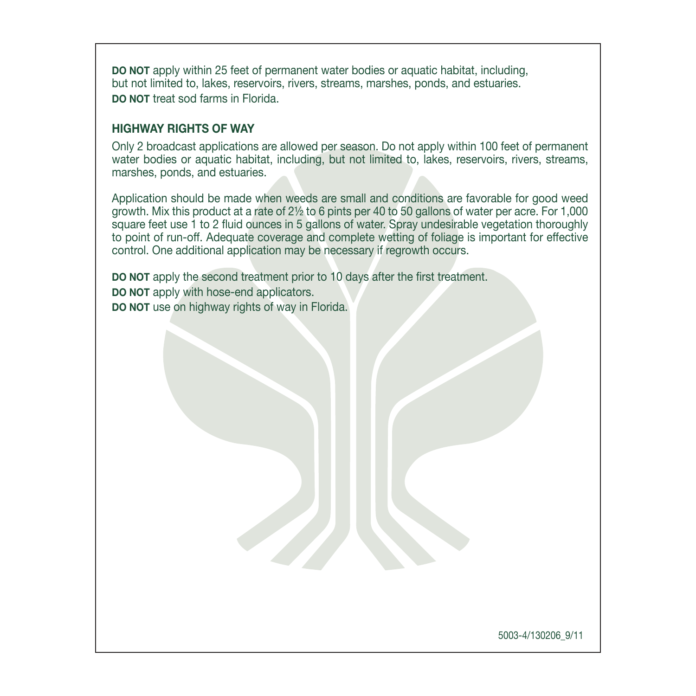**DO NOT** apply within 25 feet of permanent water bodies or aquatic habitat, including but not limited to, lakes, reservoirs, rivers, streams, marshes, ponds, and estuaries. **DO NOT treat sod farms in Florida** 

#### **HIGHWAY RIGHTS OF WAY**

Only 2 broadcast applications are allowed per season. Do not apply within 100 feet of permanent water bodies or aquatic habitat, including, but not limited to, lakes, reservoirs, rivers, streams, marshes, ponds, and estuaries.

Application should be made when weeds are small and conditions are favorable for good weed growth. Mix this product at a rate of  $2\frac{1}{2}$  to 6 pints per 40 to 50 gallons of water per acre. For 1,000 square feet use 1 to 2 fluid ounces in 5 gallons of water. Spray undesirable vegetation thoroughly to point of run-off. Adequate coverage and complete wetting of foliage is important for effective control. One additional application may be necessary if regrowth occurs.

**DO NOT** apply the second treatment prior to 10 days after the first treatment. **DO** NOT apply with hose-end-applicators. **DO NOT** use on highway rights of way in Florida.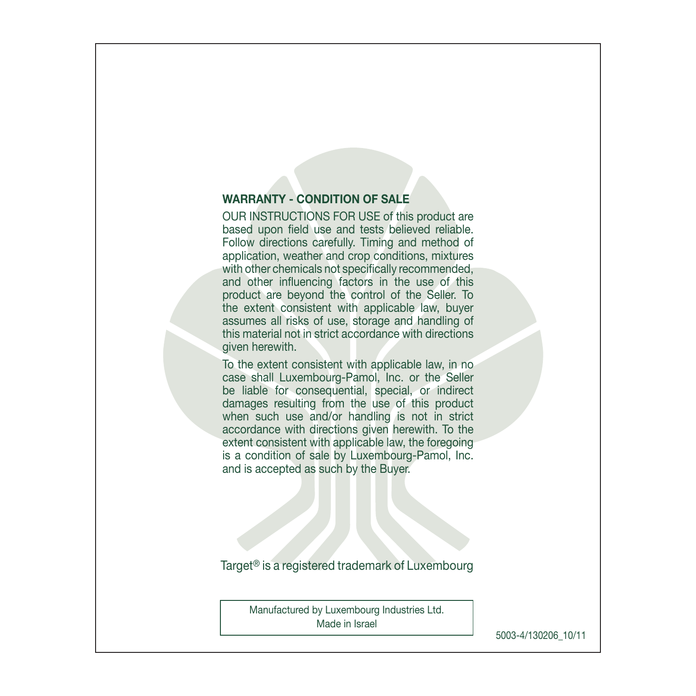# **WARRANTY - CONDITION OF SALE**

OUR INSTRUCTIONS FOR USE of this product are based upon field use and tests believed reliable. Follow directions carefully. Timing and method of application, weather and crop conditions, mixtures with other chemicals not specifically recommended, and other influencing factors in the use of this product are beyond the control of the Seller. To the extent consistent with applicable law, buyer assumes all risks of use, storage and handling of this material not in strict accordance with directions niven herewith

To the extent consistent with applicable law, in no case shall Luxembourg-Pamol. Inc. or the Seller be liable for consequential, special, or indirect damages resulting from the use of this product when such use and/or handling is not in strict accordance with directions given herewith. To the extent consistent with applicable law, the foregoing is a condition of sale by Luxembourg-Pamol, Inc. and is accepted as such by the Buver.

Target<sup>®</sup> is a registered trademark of Luxembourg

Manufactured by Luxembourg Industries Ltd. Made in Israel